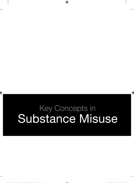# Key Concepts in **Substance Misuse**

 $\bigoplus$ 

 $\sim$  1.00  $\alpha$  p ft KCSM babitance is the individual formulation  $\alpha$ 

 $\hat{\mathbf{y}}$ 

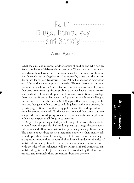### Part 1 Drugs, Democracy and Society

⊕

#### Aaron Pycroft

What the aims and purposes of drugs policy should be and who decides lies at the heart of debates about drug use. These debates continue to be extremely polarised between arguments for continued prohibition and those who favour legalisation. It is argued by some that the 'war on drugs' has failed (see Transform Drugs Policy Foundation at www.tdpf. org.uk/) and that a new approach is needed. Those in favour of continued prohibition (such as the United Nations and many governments) argue that drug use creates significant problems that we have a duty to control and eradicate. However despite the dominant prohibitionist paradigm there are significant global events and processes which are challenging the nature of this debate. Levine (2003) argued that global drug prohibition was facing a number of crises including harm reduction policies, the growing opposition to punitive drug policies, and the widespread use of cannabis around the world. To this we can now add that some countries and jurisdictions are adopting policies of decriminalisation or legalisation either with respect to all drugs or to cannabis.

Despite drugs causing an indisputable range of harms within societies it would seem that people of all kinds enjoy using a range of psychoactive substances and often do so without experiencing any significant harm. The debate about drug use as a legitimate activity is then inextricably bound up with notions of morality, free choice and liberal democracy. It is important to note that the idea of liberalism is founded on the idea of individual human rights and freedoms, whereas democracy is concerned with the idea of the collective will; so within a liberal democracy any individual rights that I enjoy are always circumscribed by the democratic process, and invariably there are tensions between the two.



 $\alpha$  p ft  $\alpha$  is the individual both individual both  $\alpha$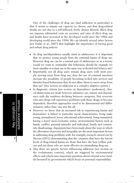One of the challenges of drug use (and addiction in particular) is that it seems to impair our capacity to choose, and that drug-related deaths are not due to a self-inflicted, freely chosen lifestyle. Illicit drug use imposes substantial costs on societies, and rates of illicit drug use and deaths have increased in the developed world since the 1960s and developing world since the 1990s. We can identify several other factors (see Darke et al., 2007) that highlight the importance of having good and robust drug policies:

⊕

- As drug use/dependence usually starts in adolescence it is important that we protect young people from the potential harms of drugs use. However drug use can be a normal part of adolescence so as a society would we want to criminalise this behaviour; should for example we treat cannabis or ecstasy use in the same way as alcohol and tobacco use?
- Importantly not all drug users remain drug users with most people moving away from drug use; does the use of criminal sanctions increase the possibility of people becoming locked into services and identity-based behaviours that do not allow them to move away from that use? (See section on addiction as a complex adaptive system.)
- In diagnostic criteria (see section on dependence syndromes), clinical distinctions are made between substance use, misuse and dependence with the numbers declining between categories. Not everyone who uses drugs will experience problems with those drugs, or become dependent, therefore approaches need to be dimensional and differentiated, rather than 'one size fits all.'
- However we know that an increased risk to experiencing harms and dependence is linked to particular social characteristics: being male, young, unemployed, lower educational achievement, being unmarried, having a lower socio-economic status; environmental factors such as family conflict, parental attitudes and individual, family and community disadvantage. Arguments have been made about the ways in which the alleviation of poverty and inequality are the most important factors in addressing drug problems with, for example, research carried out by Stevens (2011) demonstrating that the countries that have the lowest levels of drug-related harms are those that have the best welfare policies and not those who are most effective in criminalising drug use.
- Also there are genetic factors influencing addiction (see section on the evolutionary context), which are triggered by environmental effects and which raise important questions about rational actor models favoured by governments which focus on personal responsibility.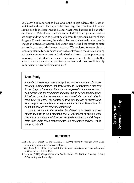So clearly it is important to have drug policies that address the issues of individual and social harms, but this then begs the question of how we should decide the best ways to balance what would appear to be an ethical dilemma. This dilemma is between an individual's right to choose to use drugs and the need to protect people from the potential harms of that drug use. There is, however, the added dilemma of what to do when people engage in potentially harmful behaviour despite the best efforts of state and society to persuade them not to do so. We can look, for example, at a range of potentially risky behaviours such as skydiving, mountain climbing and having unprotected sex and ask whether these activities present any more risks to individuals and society than using drugs? If, objectively, this is not the case then why in practise do we deal with them so differently by, for example, criminalising drug use?

⊕

#### **Case Study**

A number of years ago I was walking through town on a very cold winter morning (the temperature was below zero) and I came across a man that I knew lying by the side of the road who appeared to be unconscious. I had worked with the man before and knew him to be alcohol dependent. I tried to rouse him; he was clearly very intoxicated and only able to mumble a few words. My primary concern was the risk of hypothermia and I rang for an ambulance and explained the situation. They refused to come out because the man was intoxicated.

How or why would this situation be different to a person who has injured themselves on a mountain due to their failure to follow proper procedure, or someone adrift at sea having fallen asleep on a lilo? Do you think that under these circumstances the emergency services would refuse to attend?

#### **REFERENCES**

- Darke, S., Degenhardt, L. and Matrick, R. (2007) *Mortality amongst Drug Users.*  Cambridge: Cambridge University Press.
- Levine, H. (2003) 'Global drug prohibition: its uses and crises', *International Journal of Drug Policy*, 14: 145–153.
- Stevens, A. (2011) *Drugs, Crime and Public Health: The Political Economy of Drug Policy.* Abingdon: Routledge.

drugs, democracy and Society

drugs, democracy and Society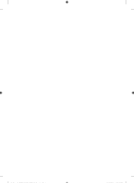

 $\overline{\phantom{a}}$ 

 $\bigoplus$ 

 $\mathbf{I}$ 

 $\overline{\phantom{a}}$ 

 $\bigoplus$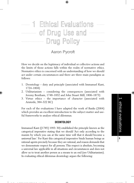

⊕

Aaron Pycroft

How we decide on the legitimacy of individual or collective actions and the limits of those actions falls within the realm of normative ethics. Normative ethics is concerned with an understanding of how we should act under certain circumstances and there are three main paradigms as follows:

- 1. Deontology duty and principle (associated with Immanuel Kant, 1724–1804)
- 2. Utilitarianism considering the consequences (associated with Jeremy Bentham, 1748–1832 and John Stuart Mill, 1806–1873)
- 3. Virtue ethics the importance of character (associated with Aristotle, 384–322 BC)

For each of the evaluations I have adapted the work of Banks (2004) which provides an excellent introduction to the subject matter and useful frameworks to analyse ethical dilemmas.

#### **DEONTOLOGY**

Immanuel Kant ([1785] 1993: 30) established the principle known as the categorical imperative stating that we should 'Act only according to the maxim by which you can at the same time will that it should become a *universal law*.' For Kant this categorical imperative binds human beings as rational agents precisely because they are rational, and reason demands that we demonstrate respect for all persons. This respect is absolute, becoming a universal law applicable in all situations and circumstances and does not allow us to treat another person as a means to an end (see Utilitarianism). In evaluating ethical dilemmas deontology argues the following:



01 P ft KCSM BAB1408B0163 P t 1 i dd 5 1\_Pycroft\_KCSM\_BAB1408B0163\_Part-1.indd 01/12/2014 4 50 08 PM 1/12/2014 4:50:08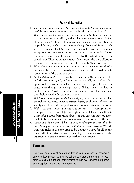#### **Practical Evaluation**

⊕

- 1. *The focus is on the act; therefore one must identify the act to be evaluated*. Is drug taking *per se* an area of ethical conflict, and why?
- 2. *What is the intention underlying the act?* Is the intention to use drugs in itself harmful, is it selfish, and am I able to make rational choices about drug use? Likewise if I am a policy maker what is my intention in prohibiting, legalising or decriminalising drug use? Interestingly when we make absolute rules then invariably we have to make exceptions to those rules; a good example is the growth of harm reduction measures and its sponsorship by the UN despite official prohibition. There is an acceptance that despite the best efforts to prevent drug use some people need help due to their drug use.
- 3. *What duties are involved in this situation and to whom or what?* Who are my duties directed towards, is it to an individual's rights or to some notion of the common good?
- 4. *Do the duties conflict?* Is it possible to balance both individual rights and the common good, and are the two actually in conflict? Is it appropriate to use criminal justice sanctions for people who use drugs even though those drugs may well have been supplied by another person? Will criminal justice or non-criminal justice sanctions help or make the situation worse?
- 5. *Will this act show respect for the human dignity of everyone involved?* Does the right to use drugs enhance human dignity at all levels of state and society, and likewise do drug enforcement laws and actions do the same?
- 6. *Will it use any person as a means to an end?* Is it appropriate for example to use criminal justice legislation and harsh penalties to deter *other* people from using drugs? In this case the state punishes me but also uses my sentence as a means to deter others; is this just?
- 7. *Given that the act must follow the categorical imperative and therefore must be applied universally, can I will this act onto everyone?* Would I want the right to use any drug to be a universal law, for all people under all circumstances, and depending upon my answer to this question, can this be maintained without exception?

#### **Exercise**

See if you can think of something that in your view should become a universal law; present your universal law to a group and see if it is possible to maintain a rational commitment to that law that does not permit any exceptions under any circumstances.

 $\alpha$  p ft  $\alpha$  is the ft individual both ft individual  $\alpha$ 

Key concepts in substance misuse

substance misuse Key concepts in

€

**6**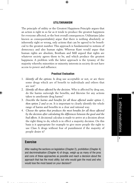#### **UTILITARIANISM**

⊕

The principle of utility or the Greatest Happiness Principle argues that an action is right in so far as it tends to produce the greatest happiness for everyone affected, or the best overall consequences. Utilitarians (also known as consequentialists) argue that there is nothing absolutely or inherently right or wrong, only actions that can be agreed to be beneficial to the greatest number. This approach is fundamental to notions of democracy and also human rights. Whereas Kant would argue that human rights are absolute, Bentham and Mill argued that rights are whatever society agrees them to be, and which produce the greatest happiness. A problem with the latter approach is the tyranny of the majority whereby minorities or minority interests in society do not have access to power and influence.

#### **Practical Evaluation**

- 1. *Identify all the options.* Is drug use acceptable or not, or are there some drugs which are of benefit to individuals and others that are not?
- 2. *Identify all those affected by the decision.* Who is affected by drug use, do the harms outweigh the benefits, and likewise for any actions taken to ameliorate drug harms?
- 3. *Describe the harms and benefits for all those affected under option 1, then option 2 and so on.* It is important to clearly identify the whole range of harms and benefits in a clear and rational way.
- 4. *Choose the option that produces the most benefits for all those affected by the decision after calculating the differences between the good and the bad effects.* A decisional calculus is made to arrive at a decision about the right thing to do, which is in effect a majority decision. On this basis is it appropriate for example to give more people the right to use Class A drugs without fear of punishment if the majority of people desire it?

#### **Exercise**

After reading the sections on legislation (Chapter 2), prohibition (Chapter 4) and decriminalisation (Chapter 4) of drugs, weigh up as many of the pros and cons of these approaches as possible and reach a decision about the approach that has the most utility; but who would gain the most and who would lose the most based on your decision?

€ 1 ethical evaluations 1 ethical evaluations **7**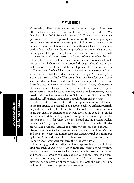#### **VIRTUE ETHICS**

⊕

Virtue ethics offers a differing perspective on moral agency from these other codes and has seen a growing literature in social work (see Van Den Bersselaar, 2005; Pullen-Sansfacon, 2010) and social psychology (see Annas, 2003). This approach does not ask the deontological question of what are the rules that are right to follow from a sense of duty because God or the state or someone in authority tells me to do so, and neither does it take the utilitarian approach of decisional calculus based on the greatest happiness or pleasure; virtue ethics are concerned with character and the kind of person that I need to become to live the good (ethical) life (in ancient Greek *eudaimonia*). Virtues are personal qualities or traits of character demonstrated through habitual action that make persons of excellence and the development of a virtuous character.

There is considerable debate about what constitutes a virtue, and what virtues are essential for eudaimonism. For example Macintyre (2007) argues that Aristotle, Paul of Damascus, Benjamin Franklyn, Jane Austin and Karl Marx all have very different understandings and lists of virtue. Aristotle's list of virtues includes: Benevolence, Civility, Compassion, Conscientiousness, Cooperativeness, Courage, Courteousness, Dependability, Fairness, Friendliness, Generosity, Honesty, Industriousness, Justice, Loyalty, Moderation, Reasonableness, Self-confidence, Self-control, Selfdiscipline, Self-reliance, Tactfulness, Thoughtfulness and Tolerance.

 Inherent within virtue ethics is the concept of *entelecheia* which refers to the importance of potential in all people to achieve different possibilities, and that despite difficulties it is possible to develop a stable attitude to life that allows an orientation of the will towards the good life (Van den Bersselaar, 2005). In the helping relationship this is just as important for the helper as it is for those who are helped and in practice Pullen-Sansfacon (2010) argues that this can be achieved through reflective practice and practical reasoning to develop virtues (for a good example of disagreements about what constitutes a virtue watch the film *Gladiator* and the scene where the Roman Emperor Marcus Aurelias is murdered by his son Commodus after he tells him that he will not succeed him as Emporer and Commodus compares their list of virtues).

Interestingly, within abstinence based approaches to alcohol and drug use such as Alcoholics Anonymous and Narcotics Anonymous, 'sobriety' is seen as a virtue which is very much linked to protestant and evangelical notions of purity and self-discipline. Research on temperance cultures (see, for example, Levine, 1993) shows that there are differing perspectives on these virtues in the Catholic wine drinking regions of Southern Europe and the Protestant North.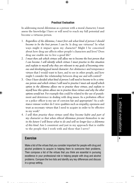#### **Practical Evaluation**

⊕

In addressing moral dilemmas as a person with a moral character, I must assess the knowledge I have or will need to reach my full potential and become a virtuous person.

- 1. *Regardless of the dilemma, I must first ask what kind of person I should become to be the best person I can be.* Is drug use virtuous? In what ways might it impact upon my character? Might I be concerned about how drug use affects other people's characters and lives? Does drug use enable me to live a good life?
- 2. *I must then ask which virtues will allow me to become the best person that I can become. I will identify which virtues I must practise in this situation and explain to myself why they are relevant to my goals of becoming virtuous and developing good moral character*. Are abstinence and temperance virtues that I would want to have, and to see in other people, and how might I consider the relationship between drug use and self-control?
- 3. *Once I have decided what kind of person I will need to become to be a virtuous person and which virtues I will need to practise I must ask myself which option in the dilemma allows me to practise these virtues, and explain to myself how this option allows me to practise these virtues and why the other options would not.* For example this could be related to the use of punishment and deterrence in dealing with drug issues. As a probation officer or a police officer is my use of coercion fair and appropriate? As a substance misuse worker do I view qualities such as empathy, openness and trust as necessary virtues that I need to acquire in order to be effective in my work?
- 4. *I will then practise these virtues until they become habit and part of my character so that when ethical dilemmas present themselves to me in the future I will know what to do and will no longer face a dilemma of this kind*. Am I consistent and just in my approach that is visible to the people that I work with and those that I serve?

#### **Exercise**

Make a list of the virtues that you consider important for people with drug and alcohol problems to acquire in helping them to overcome their problems. Then compose a list of the virtues that you think are essential in pursuing excellence in your professional role in helping people with drug and alcohol problems. Compare the two lists and identify any key differences and discuss in a group setting.

€ 1 ethical evaluations 1 ethical evaluations **9**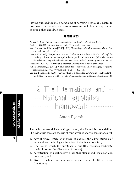Having outlined the main paradigms of normative ethics it is useful to use them as a tool of analysis to interrogate the following approaches to drug policy and drug users.

#### **REFERENCES**

Annas, J. (2003) 'Virtue ethics and social psychology', *A Priori,* 2: 20–34.

⊕

Banks, C. (2004) *Criminal Justice Ethics.* Thousand Oaks: Sage.

- Kant, I. trans. J.W. Ellington ([1785] 1993) *Grounding for the Metaphysics of Morals*, 3rd edn. Indianaopolis: Hackett.
- Levine, H. (1993) 'Temperance cultures: alcohol as a problem in Nordic and Englishspeaking cultures', in M. Lader, G. Edwards, and D. C. Drummon (eds), *The Nature of Alcohol and Drug-Related Problems.* New York: Oxford University Press. pp. 16–36.

Macintyre, A. (2007) *After Virtue.* Indiana: University of Notre Dame Press. Pullen-Sansfacon, A. (2010) 'Virtue ethics for social work: a new pedagogy for practi-

cal reasoning', *Social Work Education*, 29(4): 402–15.

Van den Bersselaar, D. (2005) 'Virtue-ethics as a device for narratives in social work: the possibility of empowerment by moralising', *Journal Europeen d'Education Sociale,* 7: 22–33.

### 2 The International and National Legislative Framework

#### Aaron Pycroft

Through the World Health Organization, the United Nations defines illicit drug use through the use of four levels of analysis (see unodc.org):

- 1. Any chemical entity or mixture of entities, the administration of which alters the biological function of the living organism;
- 2. The use to which the substance is put (this excludes legitimate medical use for the alleviation of disease);
- 3. A restriction to psychoactive drugs that alter mood, cognition and behaviour; and
- 4. Drugs which are self-administered and impair health or social functioning.

**10**

Key concepts in substance misuse

substance misuse Key concepts in

€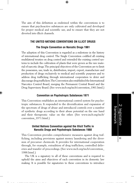The aim of this definition as enshrined within the conventions is to ensure that psychoactive substances are only cultivated and developed for proper medical and scientific use, and to ensure that they are not diverted into illicit channels.

⊕

#### **THE UNITED NATIONS CONVENTIONS ON ILLICIT DRUGS**

#### **The Single Convention on Narcotic Drugs 1961**

The adoption of this Convention is regarded as a milestone in the history of international drug control. The Single Convention codified all existing multilateral treaties on drug control and extended the existing control systems to include the cultivation of plants that were grown as the raw material of narcotic drugs. The principal objectives of the Convention are to limit the possession, use, trade in, distribution, import, export, manufacture and production of drugs exclusively to medical and scientific purposes and to address drug trafficking through international cooperation to deter and discourage drug traffickers. The Convention also established the International Narcotics Control Board, merging the Permanent Central Board and the Drug Supervisory Board. (See www.incb.org/incb/convention\_1961.html.)

#### **Convention on Psychotropic Substances 1971**

This Convention establishes an international control system for psychotropic substances. It responded to the diversification and expansion of the spectrum of drugs of abuse and introduced controls over a number of synthetic drugs according to their abuse potential on the one hand and their therapeutic value on the other. (See www.incb.org/incb/ convention\_1971.html.)

#### **United Nations Convention against the Illicit Traffic in Narcotic Drugs and Psychotropic Substances 1988**

This Convention provides comprehensive measures against drug trafficking, including provisions against money laundering and the diversion of precursor chemicals. It provides for international cooperation through, for example, extradition of drug traffickers, controlled deliveries and transfer of proceedings. (See www.incb.org/incb/convention\_ 1988.html.)

The UK is a signatory to all of these conventions and is required to uphold the aims and objectives of each convention in its domestic law making. It is possible for signatories to these conventions to introduce

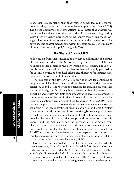stricter domestic legislation than that which is demanded by the conventions, but they cannot introduce more lenient approaches (Fazey, 2003). The Select Committee on Home Affairs (2002) notes that although this restricts unilateral action on the part of the UK when legislating on drug issues, there is possibly more room for manoeuvre than is usually acknowledged. The committee argues that this is because 'the treaties do not lay down specific control mechanisms within the basic premise of criminality of drug possession and supply' (paragraph 266).

 $\bigoplus$ 

#### **The Misuse of Drugs Act 1971**

Following on from these internationally agreed definitions, the British Government introduced the Misuse of Drugs Act (1971) which since its inception has remained the cornerstone of UK policy. The legislation is only concerned with drugs that are banned or only permissible for use in scientific and medical efforts and therefore for instance does not cover the use of alcohol or nicotine.

The purposes of the 1971 Act are to provide means for controlling all drugs and to divide these drugs into three classes in descending degree of danger (A, B and C) and to grade the penalties for misusing drugs in each class accordingly; the Act distinguishes between unlawful possession and trafficking and creates new trafficking offences with severe punishments; it continues to require the notification of drug addicts to the Home Office (this was a continued requirement of the Dangerous Drugs Act 1967) and restricts the prescription of drugs of dependence to them; the Act allows for the provision of special treatment centres; and gives the Home Secretary powers to act quickly in the case of overprescribing by general practitioners; the Act brings new substances under control and makes necessary regulations for the control of production, supply and possession of those substances; and the Act allows for the demand of information from pharmacists or practitioners supplying drugs in areas where a particular drug problem arises. The legislation established an advisory council (the ACMD) to assist the Home Secretary in the preparation of controls and counter measures and aims to promote research and education in relation to the dangers of drug misuse (Stark et al., 1999).

Drugs, which are controlled by this legislation and are divided into three classes  $- A$ , B and  $C -$  are listed in Schedule 2 of the Act. Crucially each drug is judged according to its 'relative harmfulness' and classified accordingly. However the 1971 Act is not explicit in deciding how and why some drugs are more harmful than others. The Act uses the following criteria – firstly whether the drug is being misused, secondly whether it is

substance misuse substance misuse Key concepts in Key concepts in **12**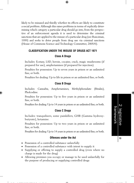likely to be misused and thirdly whether its effects are likely to constitute a social problem. Although this raises problems in terms of explicitly determining which category a particular drug should go into, from the perspective of an enforcement agenda it is used to determine the criminal sanctions that are applied to the misuse of a particular drug (see Runciman, 1999) and seeks to deter people from drug use via criminal sanctions (House of Commons Science and Technology Committee, 2005/6).

⊕

#### **CLASSIFICATION UNDER THE MISUSE OF DRUGS ACT 1971**

#### **Class A Drugs**

Includes: Ecstasy, LSD, heroin, cocaine, crack, magic mushrooms (if prepared for use), amphetamines (if prepared for injection).

Penalties for possession: Up to seven years in prison or an unlimited fine, or both.

Penalties for dealing: Up to life in prison or an unlimited fine, or both.

#### **Class B Drugs**

Includes: Cannabis, Amphetamines, Methylphenidate (Ritalin), Pholcodine.

Penalties for possession: Up to five years in prison or an unlimited fine, or both.

Penalties for dealing: Up to 14 years in prison or an unlimited fine, or both.

#### **Class C Drugs**

Includes: tranquilisers, some painkillers, GHB (Gamma hydroxybutyrate), ketamine.

Penalties for possession: Up to two years in prison or an unlimited fine, or both.

Penalties for dealing: Up to 14 years in prison or an unlimited fine, or both.

#### **Offences under the Act**

- Possession of a controlled substance unlawfully
- Possession of a controlled substance with intent to supply it
- Supplying or offering to supply a controlled drug (even where no charge is made for the drug)
- Allowing premises you occupy or manage to be used unlawfully for the purpose of producing or supplying controlled drugs



⊕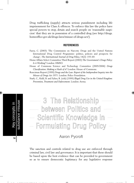Drug trafficking (supply) attracts serious punishment including life imprisonment for Class A offences. To enforce this law the police have special powers to stop, detain and search people on 'reasonable suspicion' that they are in possession of a controlled drug (see http://drugs. homeoffice.gov.uk/drugs-laws/misuse-of-drugs-act/).

⊕

#### **REFERENCES**

- Fazey, C. (2003) 'The Commission on Narcotic Drugs and the United Nations International Drug Control Programme: politics, policies and prospects for change', *The International Journal of Drug Policy,* 14(2): 155–69.
- Home Affairs Select Committee Third Report (2002) *The Government's Drugs Policy: Is it Working?* London: HMSO.
- House of Commons Science and Technology Committee (2005/2006) *Drugs Classification: Making a Hash of it?* London: House of Commons.
- Runciman Report (1999) *Drugs and the Law: Report of the Independent Inquiry into the Misuse of Drugs Act 1971*. London: Police Foundation.
- Stark, C., Kidd, B. and Sykes, R. (eds) (1999) *Illegal Drug Use in the United Kingdom: Prevention, Treatment and Enforcement.* London: Arena.



Aaron Pycroft

The sanction and controls related to drug use are enforced through criminal law, civil law and governance. It is important that these should be based upon the best evidence that can be provided to government so as to ensure democratic legitimacy for any legislative response

Key concepts in substance misuse

substance misuse Key concepts in

€

**14**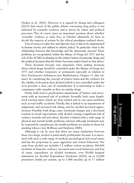(Stokes et al., 2001). However it is argued by Strang and colleagues (2012) that much of the public debate concerning drug policy is not informed by scientific evidence and is driven by values and political processes. This of course raises an important question about whether 'scientific' evidence is value free, or whether ultimately we have to decide the impacts of actions by the ethical paradigms outlined above.

⊕

Even if science is value free and objective how is this to be implemented in human society and utilised to inform policy? In particular what is the relationship between this knowledge and the democratic process? These problems are encapsulated within the Misuse of Drugs Act 1971 and the role of the ACMD in advising on the relative harms of particular drugs, and the political decisions that the Home Secretary makes based on that advice.

These decisions become very important when making decisions about which drugs should be controlled under the Misuse of Drugs Act 1971 and whether temporary or permanent especially in relation to New Psychoactive Substances (see Bartholomew, Chapter 11, this volume). In considering the concept of relative harm and the evidence for the validity of decisions then alcohol (which is not controlled under the Act) provides a clear case of contradiction. It is interesting to make a comparison with cannabis as they are similar drugs.

Firstly, both lead to psychomotor impairment of balance and movement with an increased risk of accidents. Secondly, both cause lengthened reaction times which are dose related and so can cause problems such as road traffic accidents. Thirdly, this is linked to an impairment of judgement, and increased risk taking, and for alcohol increased aggressiveness. Fourthly, both drugs cause emotional changes and a decreased reaction to social expectations, with alcohol causing a significant risk of violence towards self and others. Alcohol is linked with a wide range of physical and mental health problems, whereas although treatment may be required for cannabis use, the health problems are similar to those for smoking tobacco (see Roffman and Stephens, 2006).

Although it can be seen that there are many similarities between these two drugs, alcohol is particularly problematic because it is associated with such a wide range of medical, psychological and social issues and has the propensity to cause aggressive and violent behaviour. The costs from alcohol use includes 1.2 million violent incidents, 360,000 incidents of domestic violence, increased anti-social behaviour and fear of crime, expenditure on alcohol treatment, over 30,000 hospital admissions for Alcohol Dependence Syndrome (ADS), up to 22,000 premature deaths per annum, up to 1,000 suicides, up to 17 million

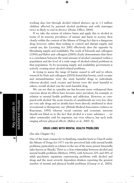working days lost through alcohol related absence, up to 1.3 million children affected by parental alcohol problems and with marriages twice as likely to end in divorce (Home Office, 2004).

⊕

If we take the notion of relative harm and apply this to alcohol in terms of its toxicity, prevalence of misuse and harm to society, then clearly within the context of the Misuse of Drugs Act this is a dangerous drug; however, rather than seeking to control and disrupt supply, and curtail use, the Licensing Act 2003 effectively does the opposite by liberalising supply and availability. The work of Edwards and colleagues (1994) and Babor and colleagues (2003) clearly demonstrates that there is a correlation between the total amount of alcohol consumed within a population and the level of a wide range of alcohol-related problems in that population. So by increasing supply and availability government is actively creating more alcohol-related problems.

In trying to assess the range of harms caused to self and to others, research by Nutt and colleagues (2010) found that heroin, crack cocaine and metamfetamine were the most harmful drugs to individuals, whereas alcohol, crack cocaine and heroin were the most harmful to others; overall alcohol was the most harmful drug.

We can see that as cannabis use has become more widespread then concerns about its effects have become more prevalent, for example, in relation to mental health problems and addiction. However, as compared with alcohol 'the acute toxicity of cannibinoids are very low: they are very safe drugs and no deaths have been directly attributed to their recreational or therapeutic use' (British Medical Association evidence in Runciman, 1999) whereas 'social customs and economic interests should not blind us to the fact that alcohol is a toxic substance … no other commodity sold for ingestion, not even tobacco, has such wide ranging adverse physical effects' (Babor et al., 2003: 4).

#### **DRUG LINKS WITH MENTAL HEALTH PROBLEMS**

*(See also Chapter 16.)*

One of the main reasons for reclassifying cannabis back to Class B under the Misuse of Drugs Act 1971 was the perceived link with mental health problems, particularly in relation to the use of the more potent Sinsemilla (also known as Skunk). There is a clear relationship between alcohol and mental health problems (Meltzer, 1995), with between 22% and 44% of adult psychiatric inpatients experiencing problems with alcohol and drugs and the most severely dependent drinkers reporting the greatest number of mental and physical health problems (Gossop et al., 2003).

substance misuse substance misuse Key concepts in Key concepts in **16**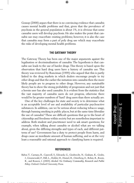Gossop (2000) argues that there is no convincing evidence that cannabis causes mental health problems and that, given that the prevalence of psychosis in the general population is about 1%, it is obvious that some cannabis users will develop psychosis. He also makes the point that cannabis use may exacerbate existing problems; however, it is also the case that cannabis may form a part of poly drug use which may exacerbate the risks of developing mental health problems.

⊕

#### **THE GATEWAY THEORY**

The Gateway Theory has been one of the major arguments against the legalisation or decriminalisation of cannabis. The hypothesis is that cannabis use leads to the use of harder drugs. This theory is based upon the observation that hard drug users have a history of cannabis use. This theory was reviewed by Runciman (1999) who argued that this is partly linked to the drug markets in which dealers encourage people to try other drugs and that the earlier the initiation into cannabis then the more likely people are to progress to other drugs. However, any sustainable theory has to show the strong probability of progression and not just that a heroin user has also used cannabis. It is evident from the statistics that the vast majority of cannabis users do not progress, otherwise there would be far greater numbers of 'hard' drug users than there actually are.

One of the key challenges for state and society is to determine what is an acceptable level of use and availability of particular psychoactive substances. In addition, can we be serious about reducing tobacco usage, through banning smoking in public places, but at the same time liberalise the use of cannabis? These are difficult questions that go to the heart of citizenship and freedoms within society but are nonetheless important to address. Both student and practitioner need to ask smart questions; for example, when talking about cannabis or alcohol what are we talking about, given the differing strengths and types of each, and different patterns of use? Government has a duty to protect people from harm, and drugs cause an inordinate amount of human suffering, and so at the very least a reasonable and rational approach to classifying harm is required.

## € 3 formulating 3 formulating drug policy drug policy **17**

#### **REFERENCES**

Babor, T., Caetano, R., Casswell, S., Edwards, G., Giesbrecht, N., Graham, K., Grube, J., Gruenewald, P., Hill, L., Holder, H., Homel, R., Osterberg, E., Rehm, R., Room, R., and Rossow, I. (2003) *Alcohol: No Ordinary Commodity, Research and Public Policy.* Oxford: Oxford University Press.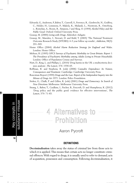Edwards, G., Anderson, P.,Babor, T., Caswell, S., Ferrence, R., Giesbrecht, N., Godfrey, C., Holder, H., Lemmens, P., Makela, K., Midanik, L., Norstrom, R., Osterberg, e., Romelsjo, A., Room, R., Simpura, J and Skog, O. (1994) *Alcohol Policy and the Public Good*. Oxford: Oxford University Press.

⊕

- Gossop, M. (2000) *Living with Drugs.* Aldershot: Ashgate.
- Gossop, M., Marsden, J., Stewart, D. and Kidd, T. (2003) 'The National Treatment Outcome Research Study (NTORS): 4–5 year follow up results', *Addiction,* 98(3): 291–303.
- Home Office (2004) *Alcohol Harm Reduction Strategy for England and Wales*. London: Home Office.
- Meltzer, H. (1995) *OPCS Surveys of Psychiatric Morbidity in Great Britain: Report 1: The Prevalence of Psychiatric Morbidity amon*g *Adults Living in Private Households.*  London: Office of Population Census and Surveys.
- Nutt, D., King, L. and Phillips, L. (2010) 'Drug harms in the UK: a multicriteria decision analysis', *The Lancet*, 376: 1558–65.
- Roffman, R. and Stephens, R. (eds) (2006) *Cannabis Dependence: Its Nature, Consequences and Treatment.* Cambridge: Cambridge University Press.
- Runciman Report (1999) *Drugs and the Law: Report of the Independent Inquiry into the Misuse of Drugs Act 1971.* London: Police Foundation.
- Stokes, G., Chalk, P. and Gillen, K. (eds) (2001) *Drugs and Democracy: In Search of New Directions.* Melbourne: Melbourne University Press.
- Strang, J., Babor, T., Caulkins, J., Fischer, B., Foxcroft, D. and Humphreys, K. (2012) 'Drug policy and the public good: evidence for effective interventions', *The Lancet*, 379: 71–83.



#### **DEFINITIONS**

**Decriminalisation** takes away the status of criminal law from those acts to which it is applied. This means that certain acts no longer constitute criminal offences. With regard to drugs, it is usually used to refer to demand; acts of acquisition, possession and consumption. Following decriminalisation, it

Key concepts in substance misuse

substance misuse Key concepts in

€

**18**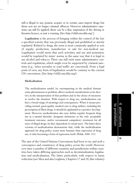still is illegal to use, possess, acquire or in certain cases import drugs, but those acts are no longer criminal offences. However, administrative sanctions can still be applied; these can be a fine, suspension of the driving or firearms licence, or just a warning. (See http://eldd.emcdda.org/.)

⊕

**Legalisation** is the process of bringing within the control of the law a specified activity that was previously illegal and prohibited or strictly regulated. Related to drugs, the term is most commonly applied to acts of supply; production, manufacture or sale for non-medical use. Legalisation would mean that such activities, and use and possession, would be regulated by states' norms, in the same way that it is legal to use alcohol and tobacco. There can still exist some administrative controls and regulations, which might even be supported by criminal sanctions (e.g., when juveniles or road traffic are concerned). From a legal point of view, any form of legalisation would be contrary to the current UN conventions. (See http://eldd.emcdda.org/)

#### **Medicalisation**

The medicalization model, by encompassing in the medical domain some phenomenon or problem, allows medical considerations to be decisive in the interpretation of that problem and in the choice of measures to resolve the situation. With respect to drug use, medicalization can have a broad range of meanings and consequences. When it means providing normal, good quality medical care to drug addicts, including the prescription of illicit drugs, it should be applauded as a positive development. However, medicalization also may define regular, frequent drug use as a mental disorder; designate abstinence as the only acceptable treatment outcome; and/or recommend compulsory treatment for all users of illegal drugs, be they dependent or casual users. The latter three versions of medicalization demonstrate that, while the medicalization approach for drug policy seems more humane than repression of drug use, it risks becoming a form of repression itself. (Polak, 2000: 351)

The aim of the United Nations Conventions had been to try and seek a convergence and consistency of drug policy across the world. However over time a number of different countries and jurisdictions within countries have taken differing approaches such as decriminalisation, legalisation and medicalisation. The latter, particularly with respect to harm reduction (see Shea and also Leighton, Chapters 17 and 18, this volume)

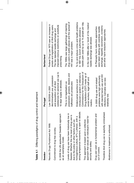Table 4.1 Differing paradigms of drug control and treatment **Table 4.1** Differing paradigms of drug control and treatment

 $\overline{\phantom{a}}$ 

 $\ddot{=}$ 

| Sweden                                                                                      | Portugal                                                           | Switzerland                                                                                 |
|---------------------------------------------------------------------------------------------|--------------------------------------------------------------------|---------------------------------------------------------------------------------------------|
| Narcotic Drugs Punishment Act 1968.                                                         | decriminalised use, possession<br>Law 30/2000 in 2001              | Federal Drug Law 1975 saw an increase in<br>arrests and registration of illicit drug users. |
| Commitment to drug free society.                                                            | and acquisition of all illicit                                     | The law rejected needle exchange and                                                        |
| In 2006 the UN applauded Sweden's approach<br>as an exemplary model                         | substances for personal use (up to<br>fo days' supply is allowed). | imposed onerous restrictions on substitute<br>prescribing.                                  |
|                                                                                             | This is not legalisation as                                        | The 1980s saw large gatherings of injecting                                                 |
| Levels of drug use have been historically low in                                            | possession, growers, dealers and                                   | drug users in public places and the spread of                                               |
| Sweden. Whether this low level of drug use is<br>due to the policy or other factors such as | traffickers are prosecuted.                                        | HIV was a major problem.                                                                    |
| homogeneous culture, 87% Lutheran, with a                                                   | Ended penal sanctions and                                          | To try and reduce crime and health problems                                                 |
| strong temperance movement, is open to debate.                                              | introduced a system of referrals to                                | in 1987 the Zurich authorities allowed a                                                    |
|                                                                                             | Commissions for the Dissuasion of                                  | needle park used by up to 1k people per day.                                                |
| approach that values an individual's need for<br>This approach is based upon a collective   | Drug Addiction (CDT) made up of<br>social workers, legal staff and | In the mid 1980s after a 'revolt of the medics'                                             |
| security and safety.                                                                        | medics                                                             | needle exchange was allowed                                                                 |
| Drug user seen as a fundamental problem and                                                 | In 2000 drug use and related                                       | At Platzspitz harm reduction approaches                                                     |
| out of control                                                                              | problems were high particularly                                    | were taken dealing with overdose needle                                                     |
| Therefore illicit drug use is explicitly criminalised.                                      | with injected heroin use and HIV<br>infections. Cannabis use was   | exchange, hepatitis vaccination, condoms<br>and other harm reduction approaches.            |
| Abstinence in treatment is enforced.                                                        | relatively low                                                     |                                                                                             |

 $\bigoplus$ 

 $\overline{1}$ 

 $\triangle$ 

 $\mathbf{I}$ 

 $\overline{\phantom{a}}$ 

 $\bigoplus$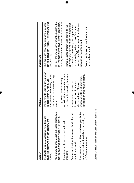| Sweden                                                                                    | Portugal                                                           | <b>Switzerland</b>                                                                         |
|-------------------------------------------------------------------------------------------|--------------------------------------------------------------------|--------------------------------------------------------------------------------------------|
| The levels of crime associated with drug use<br>cover the spectrum of minor, ordinary and | Police refer to CDT and the person<br>is seen within 72 hours. Can | causing disruption to local residents and was<br>This approach saw large numbers of people |
| serious.                                                                                  | impose fines, community service                                    | closed in 1992.                                                                            |
| Alternatives to prison exist but cases classed as                                         | and aims to dissuade new drug<br>users.                            | In 1994 the Swiss Government established a                                                 |
| serious have mandatory prison or treatment.                                               |                                                                    | policy based on the four Pillars of prevention,                                            |
|                                                                                           | They assess status as being                                        | therapy, harm reduction and law enforcement.                                               |
| There is compulsory drug testing for all                                                  | occasional and dependent users,                                    |                                                                                            |
| offenders.                                                                                | with the latter receiving treatment.                               | Heroin assisted therapy was central to this                                                |
|                                                                                           |                                                                    | approach (HAT) providing injected heroin for                                               |
| Compulsory treatment also used for alcohol but                                            | Overall there has been an                                          | a subset of people living with dependency                                                  |
| overall rarely used.                                                                      | increased use of cannabis,                                         | but not having good outcomes from other                                                    |
|                                                                                           | decreased use of heroin,                                           | interventions. Also low threshold methadone                                                |
| Therapeutic Communities have been popular but                                             | increased uptake of treatment,                                     | prescribing was introduced.                                                                |
| expensive treatment models; so increasing use                                             | reduction in drug-related deaths.                                  |                                                                                            |
| of 12-step programmes.                                                                    |                                                                    | Overall heroin use has declined and not                                                    |
|                                                                                           |                                                                    | increased as feared                                                                        |

 $\bigoplus$ 

Source: Beckley Foundation and Open Society Foundation Source: Beckley Foundation and Open Society Foundation

 $\mathbf{I}$ 

 $\overline{\phantom{a}}$ 

 $\ddot{\mathbf{\Theta}}$ 

 $\mathbf{I}$ 

 $\overline{\phantom{a}}$ 

 $\bigoplus$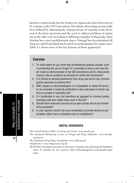has been controversial, but the former two approaches have been seen to be contrary to the UN Conventions. The debate about drug use has really been defined by addressing the widespread use of cannabis at the lower end of the harm spectrum, and the need to address problems of opiate use at the other end. In looking at differing examples of drug policy then Sweden has a strict prohibitionist stance, Portugal has decriminalised all drug use, and Switzerland has focused on medicalisation for opiate users. Table 4.1 shows some of the key features of these approaches.

⊕

#### **Exercise**

- 1. To what extent do you think that prohibitionist policies actually work in preventing the use of drugs? Is it possible to have a one-size-fitsall model as demonstrated in the UN Conventions and to what extent should cultural variations be allowed for within this framework?
- 2. Is it ethical to demand abstinence from drug use and to use criminal justice sanctions to enforce this?
- 3. With respect to decriminalisation is it acceptable to trade off harms, so for example it would be preferable to see a decrease in heroin use but an increase in cannabis use?
- 4. Is it preferable to use civil sanctions as opposed to criminal justice sanctions and how might these work in the UK?
- 5. Should harm reduction services be as open access and as low threshold as possible?
- 6. In your opinion would it be more preferable to provide heroin on prescription rather than a substitute such as methadone?

#### **USEFUL RESOURCES**

The United Nations Office on Drugs and Crime: www.unodc.org/

The European Monitoring Centre on Drugs and Drug Addiction: www.emcdda. europa.eu/

The Transform Drug Policy Foundation: www.tdpf.org.uk/ DrugScience: www.drugscience.org.uk/

The Beckley Foundation provides an interactive Cannabis map indicating the legislative status of cannabis for all countries: http://reformdrugpolicy.com/cannabis-map/ map/

Key concepts in substance misuse

substance misuse Key concepts in

**22**